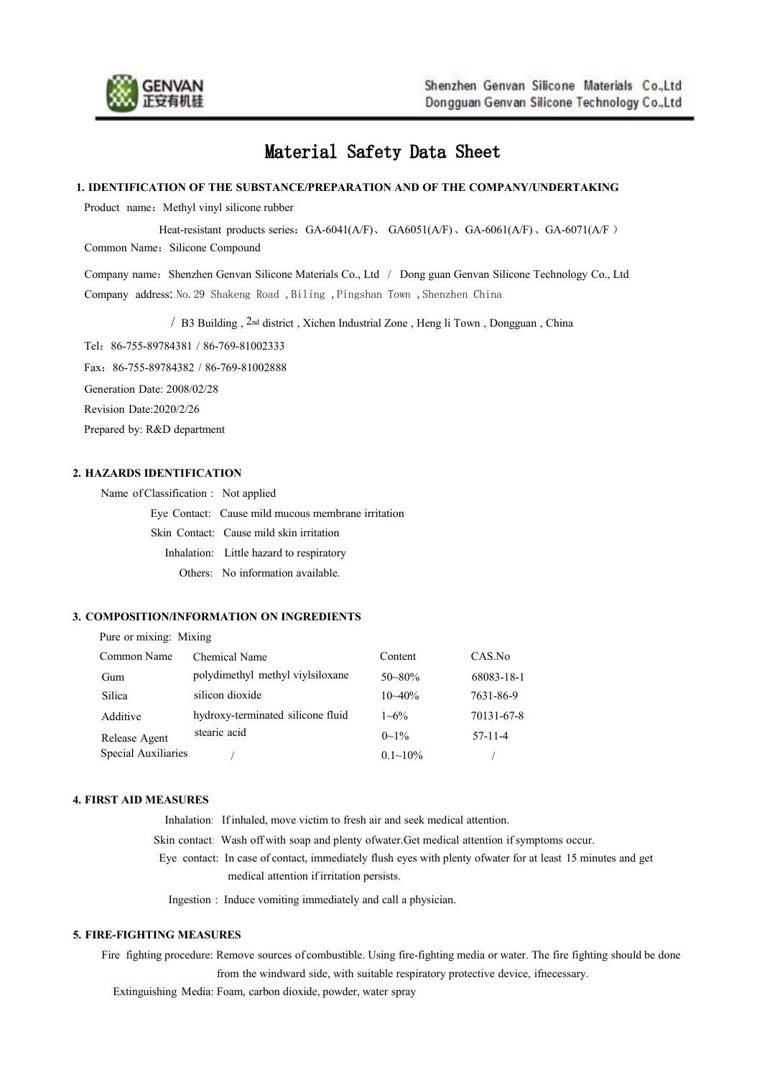

# Material Safety Data Sheet

#### **1. IDENTIFICATION OF THE SUBSTANCE/PREPARATION AND OF THE COMPANY/UNDERTAKING**

Product name: Methyl vinyl silicone rubber

Heat-resistant products series: GA-6041(A/F), GA6051(A/F), GA-6061(A/F), GA-6071(A/F)

Common Name: Silicone Compound

Company name: Shenzhen Genvan Silicone Materials Co., Ltd / Dong guan Genvan Silicone Technology Co., Ltd Company address: No.29 Shakeng Road ,Biling ,Pingshan Town ,Shenzhen China

/ B3 Building , 2nd district ,Xichen Industrial Zone , Heng li Town , Dongguan , China

Tel:86-755-89784381 / 86-769-81002333

Fax:86-755-89784382 / 86-769-81002888

Generation Date: 2008/02/28

Revision Date:2020/2/26

Prepared by: R&D department

## **2. HAZARDS IDENTIFICATION**

Name ofClassification : Not applied Eye Contact: Cause mild mucous membrane irritation Skin Contact: Cause mild skin irritation Inhalation: Little hazard to respiratory Others: No information available.

## **3. COMPOSITION/INFORMATION ON INGREDIENTS**

| Pure or mixing: Mixing |                                   |                 |            |
|------------------------|-----------------------------------|-----------------|------------|
| Common Name            | Chemical Name                     | Content         | CAS.No     |
| Gum                    | polydimethyl methyl viylsiloxane  | $50 - 80\%$     | 68083-18-1 |
| Silica                 | silicon dioxide                   | $10 - 40%$      | 7631-86-9  |
| Additive               | hydroxy-terminated silicone fluid | $1 - 6\%$       | 70131-67-8 |
| Release Agent          | stearic acid                      | $0\sim 1\%$     | $57-11-4$  |
| Special Auxiliaries    |                                   | $0.1 \sim 10\%$ |            |

#### **4. FIRST AID MEASURES**

Inhalation: If inhaled, move victim to fresh air and seek medical attention. Skin contact: Wash off with soap and plenty ofwater.Get medical attention if symptoms occur. Eye contact: In case of contact, immediately flush eyeswith plenty ofwater for at least 15 minutes and get medical attention if irritation persists.

Ingestion : Induce vomiting immediately and call a physician.

# **5. FIRE-FIGHTING MEASURES**

Fire fighting procedure: Remove sources ofcombustible. Using fire-fighting media or water. The fire fighting should be done from the windward side, with suitable respiratory protective device, ifnecessary.

Extinguishing Media: Foam, carbon dioxide, powder, water spray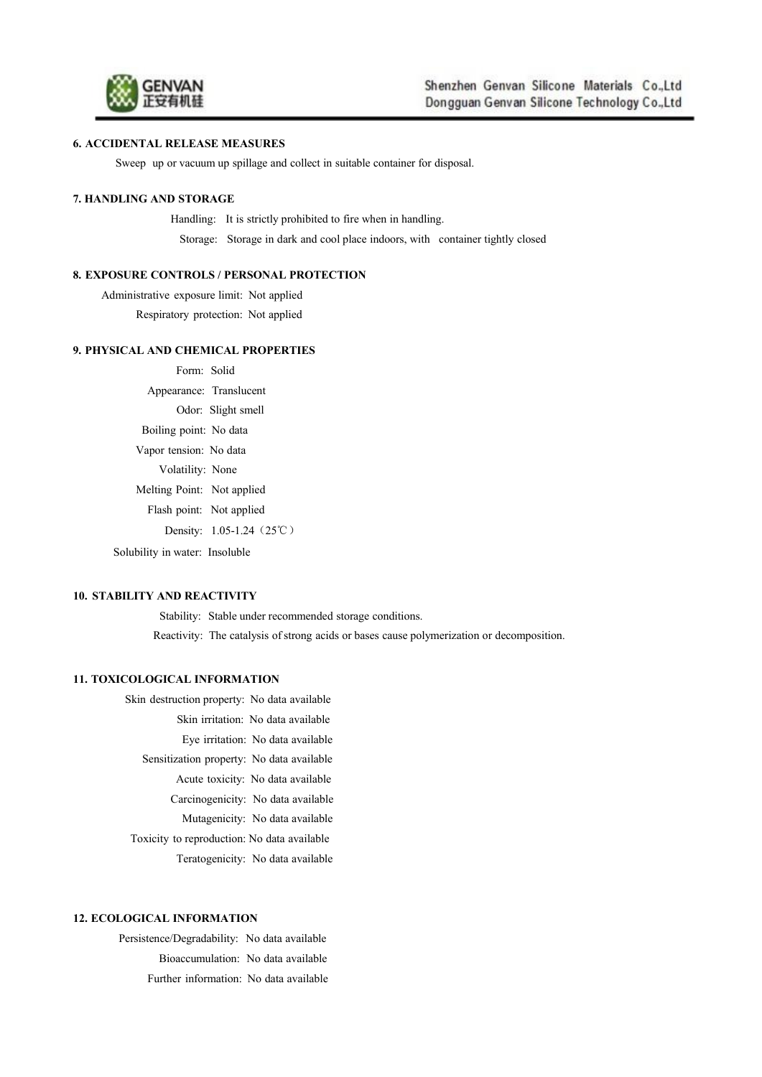

#### **6. ACCIDENTAL RELEASE MEASURES**

Sweep up or vacuum up spillage and collect in suitable container for disposal.

#### **7. HANDLING AND STORAGE**

Handling: It is strictly prohibited to fire when in handling. Storage: Storage in dark and cool place indoors, with container tightly closed

# **8. EXPOSURE CONTROLS / PERSONAL PROTECTION**

Administrative exposure limit: Not applied Respiratory protection: Not applied

#### **9. PHYSICAL AND CHEMICAL PROPERTIES**

Form: Solid Appearance: Translucent Odor: Slight smell Boiling point: No data Vapor tension: No data Volatility: None Melting Point: Not applied Flash point: Not applied Density: 1.05-1.24 (25℃) Solubility in water: Insoluble

#### **10. STABILITY AND REACTIVITY**

Stability: Stable under recommended storage conditions. Reactivity: The catalysis of strong acids or bases cause polymerization or decomposition.

# **11. TOXICOLOGICAL INFORMATION**

Skin destruction property: No data available Skin irritation: No data available Eye irritation: No data available Sensitization property: No data available Acute toxicity: No data available Carcinogenicity: No data available Mutagenicity: No data available Toxicity to reproduction: No data available Teratogenicity: No data available

#### **12. ECOLOGICAL INFORMATION**

Persistence/Degradability: No data available Bioaccumulation: No data available Further information: No data available